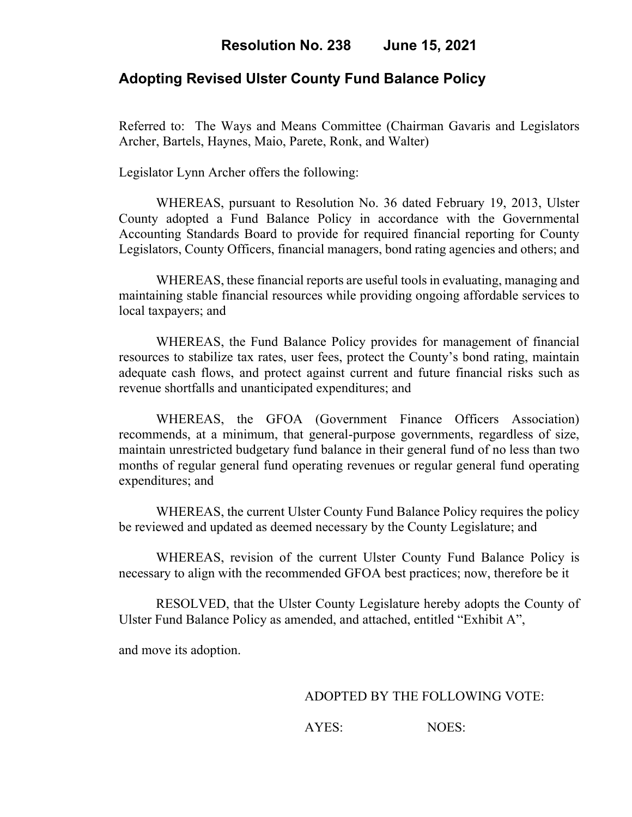## **Adopting Revised Ulster County Fund Balance Policy**

Referred to: The Ways and Means Committee (Chairman Gavaris and Legislators Archer, Bartels, Haynes, Maio, Parete, Ronk, and Walter)

Legislator Lynn Archer offers the following:

WHEREAS, pursuant to Resolution No. 36 dated February 19, 2013, Ulster County adopted a Fund Balance Policy in accordance with the Governmental Accounting Standards Board to provide for required financial reporting for County Legislators, County Officers, financial managers, bond rating agencies and others; and

WHEREAS, these financial reports are useful tools in evaluating, managing and maintaining stable financial resources while providing ongoing affordable services to local taxpayers; and

WHEREAS, the Fund Balance Policy provides for management of financial resources to stabilize tax rates, user fees, protect the County's bond rating, maintain adequate cash flows, and protect against current and future financial risks such as revenue shortfalls and unanticipated expenditures; and

WHEREAS, the GFOA (Government Finance Officers Association) recommends, at a minimum, that general-purpose governments, regardless of size, maintain unrestricted budgetary fund balance in their general fund of no less than two months of regular general fund operating revenues or regular general fund operating expenditures; and

WHEREAS, the current Ulster County Fund Balance Policy requires the policy be reviewed and updated as deemed necessary by the County Legislature; and

WHEREAS, revision of the current Ulster County Fund Balance Policy is necessary to align with the recommended GFOA best practices; now, therefore be it

RESOLVED, that the Ulster County Legislature hereby adopts the County of Ulster Fund Balance Policy as amended, and attached, entitled "Exhibit A",

and move its adoption.

ADOPTED BY THE FOLLOWING VOTE:

AYES: NOES: